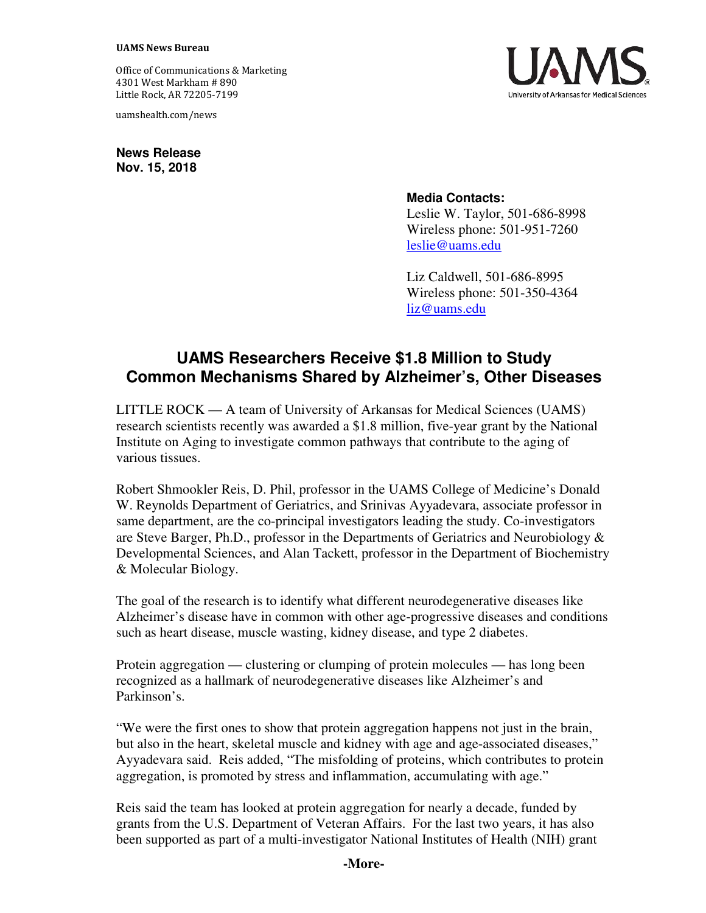## **UAMS News Bureau**

Office of Communications & Marketing 4301 West Markham # 890 Little Rock, AR 72205-7199

uamshealth.com/news

**News Release Nov. 15, 2018** 



## **Media Contacts:**

Leslie W. Taylor, 501-686-8998 Wireless phone: 501-951-7260 leslie@uams.edu

Liz Caldwell, 501-686-8995 Wireless phone: 501-350-4364 liz@uams.edu

## **UAMS Researchers Receive \$1.8 Million to Study Common Mechanisms Shared by Alzheimer's, Other Diseases**

LITTLE ROCK — A team of University of Arkansas for Medical Sciences (UAMS) research scientists recently was awarded a \$1.8 million, five-year grant by the National Institute on Aging to investigate common pathways that contribute to the aging of various tissues.

Robert Shmookler Reis, D. Phil, professor in the UAMS College of Medicine's Donald W. Reynolds Department of Geriatrics, and Srinivas Ayyadevara, associate professor in same department, are the co-principal investigators leading the study. Co-investigators are Steve Barger, Ph.D., professor in the Departments of Geriatrics and Neurobiology  $\&$ Developmental Sciences, and Alan Tackett, professor in the Department of Biochemistry & Molecular Biology.

The goal of the research is to identify what different neurodegenerative diseases like Alzheimer's disease have in common with other age-progressive diseases and conditions such as heart disease, muscle wasting, kidney disease, and type 2 diabetes.

Protein aggregation — clustering or clumping of protein molecules — has long been recognized as a hallmark of neurodegenerative diseases like Alzheimer's and Parkinson's.

"We were the first ones to show that protein aggregation happens not just in the brain, but also in the heart, skeletal muscle and kidney with age and age-associated diseases," Ayyadevara said. Reis added, "The misfolding of proteins, which contributes to protein aggregation, is promoted by stress and inflammation, accumulating with age."

Reis said the team has looked at protein aggregation for nearly a decade, funded by grants from the U.S. Department of Veteran Affairs. For the last two years, it has also been supported as part of a multi-investigator National Institutes of Health (NIH) grant